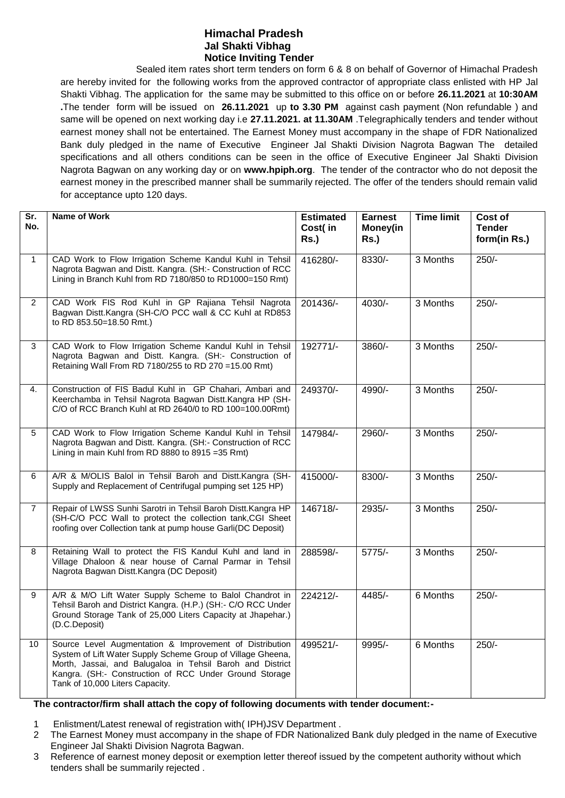## **Himachal Pradesh Jal Shakti Vibhag Notice Inviting Tender**

Sealed item rates short term tenders on form 6 & 8 on behalf of Governor of Himachal Pradesh are hereby invited for the following works from the approved contractor of appropriate class enlisted with HP Jal Shakti Vibhag. The application for the same may be submitted to this office on or before **26.11.2021** at **10:30AM .**The tender form will be issued on **26.11.2021** up **to 3.30 PM** against cash payment (Non refundable ) and same will be opened on next working day i.e **27.11.2021. at 11.30AM** .Telegraphically tenders and tender without earnest money shall not be entertained. The Earnest Money must accompany in the shape of FDR Nationalized Bank duly pledged in the name of Executive Engineer Jal Shakti Division Nagrota Bagwan The detailed specifications and all others conditions can be seen in the office of Executive Engineer Jal Shakti Division Nagrota Bagwan on any working day or on **www.hpiph.org**. The tender of the contractor who do not deposit the earnest money in the prescribed manner shall be summarily rejected. The offer of the tenders should remain valid for acceptance upto 120 days.

| Sr.<br>No.     | <b>Name of Work</b>                                                                                                                                                                                                                                                              | <b>Estimated</b><br>Cost(in<br>Rs.) | <b>Earnest</b><br>Money(in<br>$Rs.$ ) | <b>Time limit</b> | Cost of<br><b>Tender</b><br>form(in Rs.) |
|----------------|----------------------------------------------------------------------------------------------------------------------------------------------------------------------------------------------------------------------------------------------------------------------------------|-------------------------------------|---------------------------------------|-------------------|------------------------------------------|
| $\mathbf{1}$   | CAD Work to Flow Irrigation Scheme Kandul Kuhl in Tehsil<br>Nagrota Bagwan and Distt. Kangra. (SH:- Construction of RCC<br>Lining in Branch Kuhl from RD 7180/850 to RD1000=150 Rmt)                                                                                             | 416280/-                            | 8330/-                                | 3 Months          | $250/-$                                  |
| $\overline{2}$ | CAD Work FIS Rod Kuhl in GP Rajiana Tehsil Nagrota<br>Bagwan Distt.Kangra (SH-C/O PCC wall & CC Kuhl at RD853<br>to RD 853.50=18.50 Rmt.)                                                                                                                                        | 201436/-                            | $4030/-$                              | 3 Months          | $250/-$                                  |
| 3              | CAD Work to Flow Irrigation Scheme Kandul Kuhl in Tehsil<br>Nagrota Bagwan and Distt. Kangra. (SH:- Construction of<br>Retaining Wall From RD 7180/255 to RD 270 = 15.00 Rmt)                                                                                                    | 192771/-                            | 3860/-                                | 3 Months          | $250/-$                                  |
| 4.             | Construction of FIS Badul Kuhl in GP Chahari, Ambari and<br>Keerchamba in Tehsil Nagrota Bagwan Distt.Kangra HP (SH-<br>C/O of RCC Branch Kuhl at RD 2640/0 to RD 100=100.00Rmt)                                                                                                 | 249370/-                            | 4990/-                                | 3 Months          | $250/-$                                  |
| 5              | CAD Work to Flow Irrigation Scheme Kandul Kuhl in Tehsil<br>Nagrota Bagwan and Distt. Kangra. (SH:- Construction of RCC<br>Lining in main Kuhl from RD 8880 to 8915 = 35 Rmt)                                                                                                    | 147984/-                            | $2960/-$                              | 3 Months          | $250/-$                                  |
| 6              | A/R & M/OLIS Balol in Tehsil Baroh and Distt.Kangra (SH-<br>Supply and Replacement of Centrifugal pumping set 125 HP)                                                                                                                                                            | 415000/-                            | 8300/-                                | 3 Months          | $250/-$                                  |
| $\overline{7}$ | Repair of LWSS Sunhi Sarotri in Tehsil Baroh Distt.Kangra HP<br>(SH-C/O PCC Wall to protect the collection tank, CGI Sheet<br>roofing over Collection tank at pump house Garli(DC Deposit)                                                                                       | 146718/-                            | 2935/-                                | 3 Months          | $250/-$                                  |
| 8              | Retaining Wall to protect the FIS Kandul Kuhl and land in<br>Village Dhaloon & near house of Carnal Parmar in Tehsil<br>Nagrota Bagwan Distt.Kangra (DC Deposit)                                                                                                                 | 288598/-                            | $5775/-$                              | 3 Months          | $250/-$                                  |
| 9              | A/R & M/O Lift Water Supply Scheme to Balol Chandrot in<br>Tehsil Baroh and District Kangra. (H.P.) (SH:- C/O RCC Under<br>Ground Storage Tank of 25,000 Liters Capacity at Jhapehar.)<br>(D.C.Deposit)                                                                          | 224212/-                            | 4485/-                                | 6 Months          | $250/-$                                  |
| 10             | Source Level Augmentation & Improvement of Distribution<br>System of Lift Water Supply Scheme Group of Village Gheena,<br>Morth, Jassai, and Balugaloa in Tehsil Baroh and District<br>Kangra. (SH:- Construction of RCC Under Ground Storage<br>Tank of 10,000 Liters Capacity. | 499521/-                            | 9995/-                                | 6 Months          | $250/-$                                  |

## **The contractor/firm shall attach the copy of following documents with tender document:-**

- 1 Enlistment/Latest renewal of registration with( IPH)JSV Department .
- 2 The Earnest Money must accompany in the shape of FDR Nationalized Bank duly pledged in the name of Executive Engineer Jal Shakti Division Nagrota Bagwan.
- 3 Reference of earnest money deposit or exemption letter thereof issued by the competent authority without which tenders shall be summarily rejected .